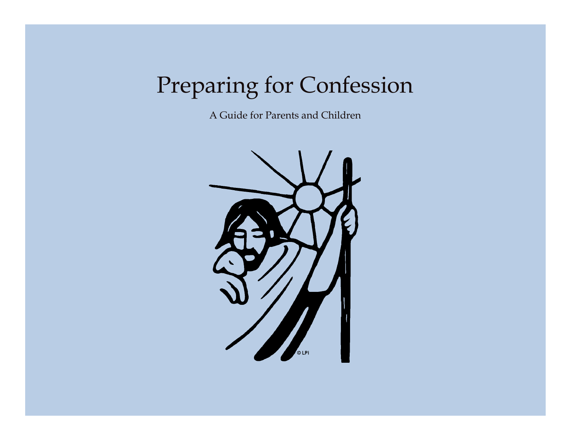# Preparing for Confession

A Guide for Parents and Children

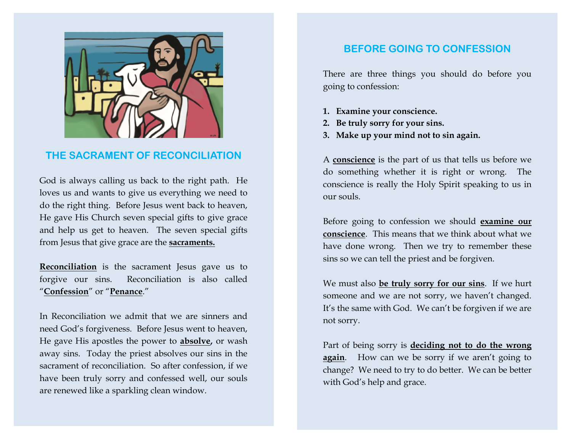

## **THE SACRAMENT OF RECONCILIATION**

God is always calling us back to the right path. He loves us and wants to give us everything we need to do the right thing. Before Jesus went back to heaven, He gave His Church seven special gifts to give grace and help us get to heaven. The seven special gifts from Jesus that give grace are the **sacraments.**

**Reconciliation** is the sacrament Jesus gave us to forgive our sins. Reconciliation is also called "**Confession**" or "**Penance**."

In Reconciliation we admit that we are sinners and need God's forgiveness. Before Jesus went to heaven, He gave His apostles the power to **absolve,** or wash away sins. Today the priest absolves our sins in the sacrament of reconciliation. So after confession, if we have been truly sorry and confessed well, our souls are renewed like a sparkling clean window.

# **BEFORE GOING TO CONFESSION**

There are three things you should do before you going to confession:

- **1. Examine your conscience.**
- **2. Be truly sorry for your sins.**
- **3. Make up your mind not to sin again.**

A **conscience** is the part of us that tells us before we do something whether it is right or wrong. The conscience is really the Holy Spirit speaking to us in our souls.

Before going to confession we should **examine our conscience**. This means that we think about what we have done wrong. Then we try to remember these sins so we can tell the priest and be forgiven.

We must also **be truly sorry for our sins**. If we hurt someone and we are not sorry, we haven't changed. It's the same with God. We can't be forgiven if we are not sorry.

Part of being sorry is **deciding not to do the wrong again**. How can we be sorry if we aren't going to change? We need to try to do better. We can be better with God's help and grace.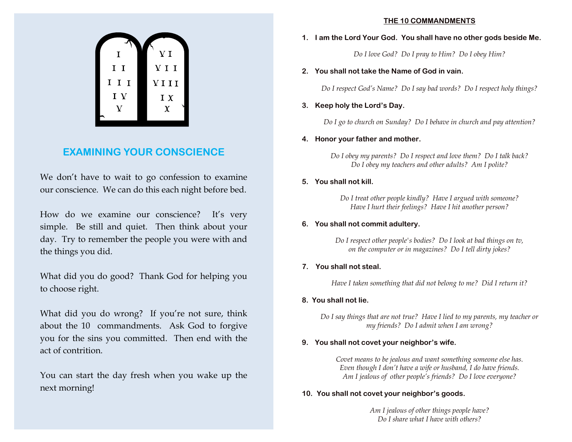

# **EXAMINING YOUR CONSCIENCE**

We don't have to wait to go confession to examine our conscience. We can do this each night before bed.

How do we examine our conscience? It's very simple. Be still and quiet. Then think about your day. Try to remember the people you were with and the things you did.

What did you do good? Thank God for helping you to choose right.

What did you do wrong? If you're not sure, think about the 10 commandments. Ask God to forgive you for the sins you committed. Then end with the act of contrition.

You can start the day fresh when you wake up the next morning!

#### **THE 10 COMMANDMENTS**

#### **1. I am the Lord Your God. You shall have no other gods beside Me.**

*Do I love God? Do I pray to Him? Do I obey Him?*

#### **2. You shall not take the Name of God in vain.**

*Do I respect God's Name? Do I say bad words? Do I respect holy things?*

#### **3. Keep holy the Lord's Day.**

*Do I go to church on Sunday? Do I behave in church and pay attention?*

#### **4. Honor your father and mother.**

*Do I obey my parents? Do I respect and love them? Do I talk back? Do I obey my teachers and other adults? Am I polite?*

#### **5. You shall not kill.**

*Do I treat other people kindly? Have I argued with someone? Have I hurt their feelings? Have I hit another person?*

#### **6. You shall not commit adultery.**

*Do I respect other people's bodies? Do I look at bad things on tv, on the computer or in magazines? Do I tell dirty jokes?*

#### **7. You shall not steal.**

*Have I taken something that did not belong to me? Did I return it?*

#### **8. You shall not lie.**

*Do I say things that are not true? Have I lied to my parents, my teacher or my friends? Do I admit when I am wrong?*

#### **9. You shall not covet your neighbor's wife.**

*Covet means to be jealous and want something someone else has. Even though I don't have a wife or husband, I do have friends. Am I jealous of other people's friends? Do I love everyone?*

#### **10. You shall not covet your neighbor's goods.**

*Am I jealous of other things people have? Do I share what I have with others?*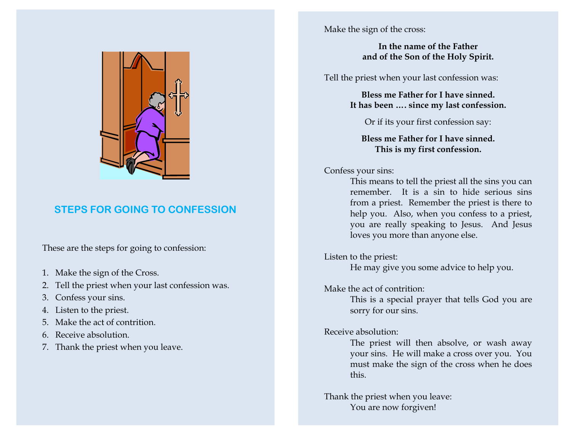

# **STEPS FOR GOING TO CONFESSION**

These are the steps for going to confession:

- 1. Make the sign of the Cross.
- 2. Tell the priest when your last confession was.
- 3. Confess your sins.
- 4. Listen to the priest.
- 5. Make the act of contrition.
- 6. Receive absolution.
- 7. Thank the priest when you leave.

Make the sign of the cross:

### **In the name of the Father and of the Son of the Holy Spirit.**

Tell the priest when your last confession was:

**Bless me Father for I have sinned. It has been …. since my last confession.**

Or if its your first confession say:

**Bless me Father for I have sinned. This is my first confession.**

Confess your sins:

 This means to tell the priest all the sins you can remember. It is a sin to hide serious sins from a priest. Remember the priest is there to help you. Also, when you confess to a priest, you are really speaking to Jesus. And Jesus loves you more than anyone else.

Listen to the priest: He may give you some advice to help you.

Make the act of contrition:

This is a special prayer that tells God you are sorry for our sins.

Receive absolution:

The priest will then absolve, or wash away your sins. He will make a cross over you. You must make the sign of the cross when he does this.

Thank the priest when you leave: You are now forgiven!